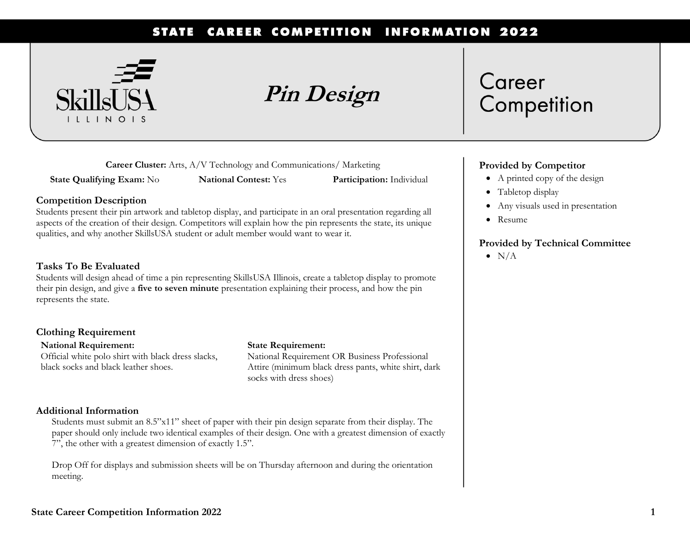#### **CAREER COMPETITION INFORMATION 2022 STATE**



**Pin Design**

**Career Cluster:** Arts, A/V Technology and Communications/ Marketing

**State Qualifying Exam:** No **National Contest:** Yes **Participation:** Individual

#### **Competition Description**

Students present their pin artwork and tabletop display, and participate in an oral presentation regarding all aspects of the creation of their design. Competitors will explain how the pin represents the state, its unique qualities, and why another SkillsUSA student or adult member would want to wear it.

#### **Tasks To Be Evaluated**

Students will design ahead of time a pin representing SkillsUSA Illinois, create a tabletop display to promote their pin design, and give a **five to seven minute** presentation explaining their process, and how the pin represents the state.

#### **Clothing Requirement**

**National Requirement:**  Official white polo shirt with black dress slacks, black socks and black leather shoes.

#### **State Requirement:**

National Requirement OR Business Professional Attire (minimum black dress pants, white shirt, dark socks with dress shoes)

### **Additional Information**

Students must submit an 8.5"x11" sheet of paper with their pin design separate from their display. The paper should only include two identical examples of their design. One with a greatest dimension of exactly 7", the other with a greatest dimension of exactly 1.5".

Drop Off for displays and submission sheets will be on Thursday afternoon and during the orientation meeting.

# Career Competition

## **Provided by Competitor**

- A printed copy of the design
- Tabletop display
- Any visuals used in presentation
- Resume

## **Provided by Technical Committee**

 $\bullet$  N/A